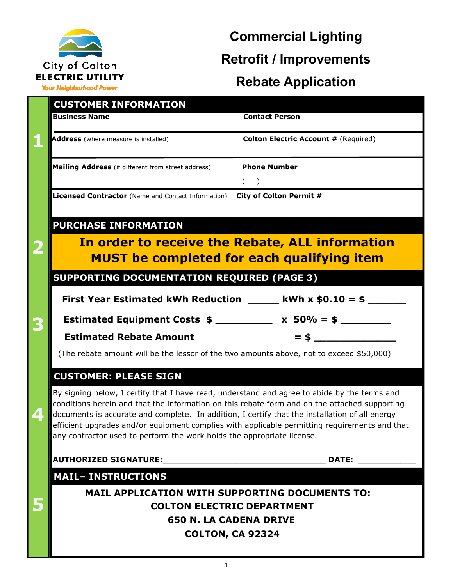

### **Commercial Lighting Retrofit / Improvements Rebate Application**

**Your Neighborhood Power** 

| <b>CUSTOMER INFORMATION</b><br><b>Business Name</b>                                                                                                                                                                                                                                             | <b>Contact Person</b>                                                                         |  |  |  |
|-------------------------------------------------------------------------------------------------------------------------------------------------------------------------------------------------------------------------------------------------------------------------------------------------|-----------------------------------------------------------------------------------------------|--|--|--|
|                                                                                                                                                                                                                                                                                                 |                                                                                               |  |  |  |
| Address (where measure is installed)                                                                                                                                                                                                                                                            | <b>Colton Electric Account # (Required)</b>                                                   |  |  |  |
| Mailing Address (if different from street address)                                                                                                                                                                                                                                              | <b>Phone Number</b>                                                                           |  |  |  |
|                                                                                                                                                                                                                                                                                                 | (                                                                                             |  |  |  |
| Licensed Contractor (Name and Contact Information) City of Colton Permit #                                                                                                                                                                                                                      |                                                                                               |  |  |  |
|                                                                                                                                                                                                                                                                                                 |                                                                                               |  |  |  |
| <b>PURCHASE INFORMATION</b>                                                                                                                                                                                                                                                                     |                                                                                               |  |  |  |
|                                                                                                                                                                                                                                                                                                 | In order to receive the Rebate, ALL information                                               |  |  |  |
|                                                                                                                                                                                                                                                                                                 | <b>MUST</b> be completed for each qualifying item                                             |  |  |  |
| <b>SUPPORTING DOCUMENTATION REQUIRED (PAGE 3)</b>                                                                                                                                                                                                                                               |                                                                                               |  |  |  |
|                                                                                                                                                                                                                                                                                                 | First Year Estimated kWh Reduction $\_\_\_\_$ kWh x \$0.10 = \$ $\_\_\_\_\_\_\_\_\$           |  |  |  |
| Estimated Equipment Costs $\frac{1}{2}$ x 50% = $\frac{1}{2}$                                                                                                                                                                                                                                   |                                                                                               |  |  |  |
| <b>Estimated Rebate Amount</b>                                                                                                                                                                                                                                                                  | $=$ \$                                                                                        |  |  |  |
| (The rebate amount will be the lessor of the two amounts above, not to exceed \$50,000)                                                                                                                                                                                                         |                                                                                               |  |  |  |
| <b>CUSTOMER: PLEASE SIGN</b>                                                                                                                                                                                                                                                                    |                                                                                               |  |  |  |
|                                                                                                                                                                                                                                                                                                 |                                                                                               |  |  |  |
| By signing below, I certify that I have read, understand and agree to abide by the terms and<br>conditions herein and that the information on this rebate form and on the attached supporting<br>documents is accurate and complete. In addition, I certify that the installation of all energy |                                                                                               |  |  |  |
|                                                                                                                                                                                                                                                                                                 | efficient upgrades and/or equipment complies with applicable permitting requirements and that |  |  |  |
| any contractor used to perform the work holds the appropriate license.                                                                                                                                                                                                                          |                                                                                               |  |  |  |
|                                                                                                                                                                                                                                                                                                 | <b>DATE:</b>                                                                                  |  |  |  |
| <b>MAIL- INSTRUCTIONS</b>                                                                                                                                                                                                                                                                       |                                                                                               |  |  |  |
| <b>MAIL APPLICATION WITH SUPPORTING DOCUMENTS TO:</b>                                                                                                                                                                                                                                           |                                                                                               |  |  |  |
| <b>COLTON ELECTRIC DEPARTMENT</b>                                                                                                                                                                                                                                                               |                                                                                               |  |  |  |
| <b>650 N. LA CADENA DRIVE</b>                                                                                                                                                                                                                                                                   |                                                                                               |  |  |  |
| <b>COLTON, CA 92324</b>                                                                                                                                                                                                                                                                         |                                                                                               |  |  |  |
|                                                                                                                                                                                                                                                                                                 |                                                                                               |  |  |  |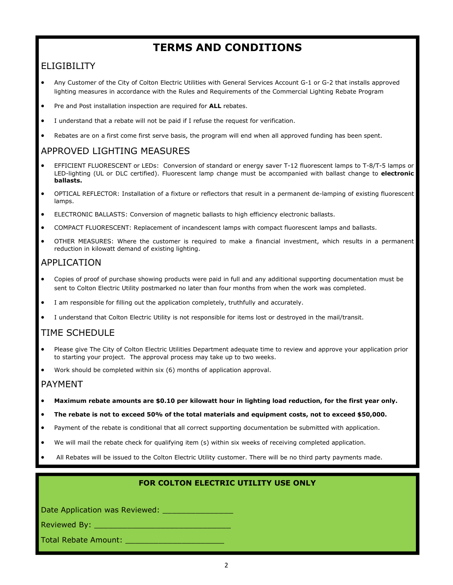### **TERMS AND CONDITIONS**

### ELIGIBILITY

- Any Customer of the City of Colton Electric Utilities with General Services Account G-1 or G-2 that installs approved lighting measures in accordance with the Rules and Requirements of the Commercial Lighting Rebate Program
- Pre and Post installation inspection are required for **ALL** rebates.
- I understand that a rebate will not be paid if I refuse the request for verification.
- Rebates are on a first come first serve basis, the program will end when all approved funding has been spent.

### APPROVED LIGHTING MEASURES

- EFFICIENT FLUORESCENT or LEDs: Conversion of standard or energy saver T-12 fluorescent lamps to T-8/T-5 lamps or LED-lighting (UL or DLC certified). Fluorescent lamp change must be accompanied with ballast change to **electronic ballasts.**
- OPTICAL REFLECTOR: Installation of a fixture or reflectors that result in a permanent de-lamping of existing fluorescent lamps.
- ELECTRONIC BALLASTS: Conversion of magnetic ballasts to high efficiency electronic ballasts.
- COMPACT FLUORESCENT: Replacement of incandescent lamps with compact fluorescent lamps and ballasts.
- OTHER MEASURES: Where the customer is required to make a financial investment, which results in a permanent reduction in kilowatt demand of existing lighting.

### APPLICATION

- Copies of proof of purchase showing products were paid in full and any additional supporting documentation must be sent to Colton Electric Utility postmarked no later than four months from when the work was completed.
- I am responsible for filling out the application completely, truthfully and accurately.
- I understand that Colton Electric Utility is not responsible for items lost or destroyed in the mail/transit.

### TIME SCHEDULE

- Please give The City of Colton Electric Utilities Department adequate time to review and approve your application prior to starting your project. The approval process may take up to two weeks.
- Work should be completed within six (6) months of application approval.

### PAYMENT

- **Maximum rebate amounts are \$0.10 per kilowatt hour in lighting load reduction, for the first year only.**
- **The rebate is not to exceed 50% of the total materials and equipment costs, not to exceed \$50,000.**
- Payment of the rebate is conditional that all correct supporting documentation be submitted with application.
- We will mail the rebate check for qualifying item (s) within six weeks of receiving completed application.
- All Rebates will be issued to the Colton Electric Utility customer. There will be no third party payments made.

### **FOR COLTON ELECTRIC UTILITY USE ONLY**

Date Application was Reviewed: \_\_\_\_\_\_\_\_\_\_\_\_\_\_\_

Reviewed By: \_\_\_\_\_\_\_\_\_\_\_\_\_\_\_\_\_\_\_\_\_\_\_\_\_\_\_\_\_

Total Rebate Amount: \_\_\_\_\_\_\_\_\_\_\_\_\_\_\_\_\_\_\_\_\_